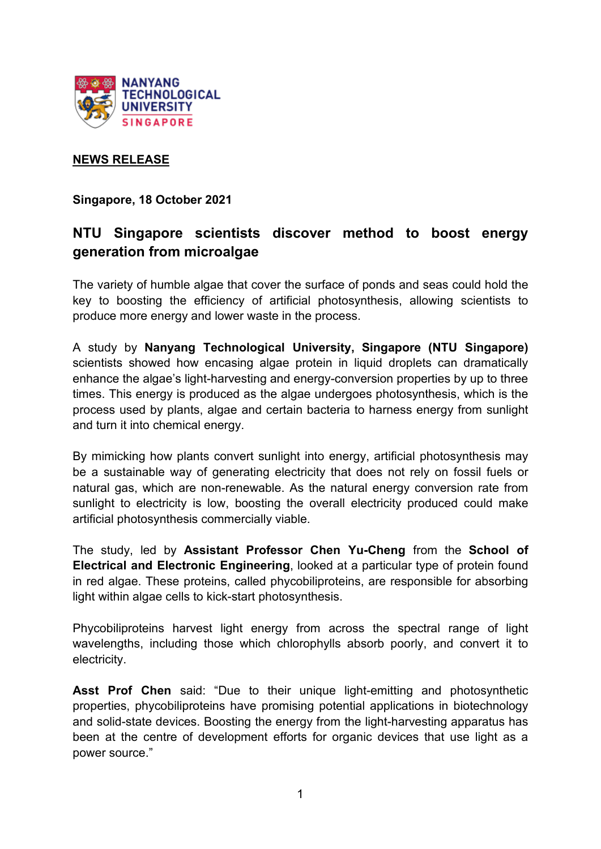

## **NEWS RELEASE**

**Singapore, 18 October 2021**

# **NTU Singapore scientists discover method to boost energy generation from microalgae**

The variety of humble algae that cover the surface of ponds and seas could hold the key to boosting the efficiency of artificial photosynthesis, allowing scientists to produce more energy and lower waste in the process.

A study by **Nanyang Technological University, Singapore (NTU Singapore)** scientists showed how encasing algae protein in liquid droplets can dramatically enhance the algae's light-harvesting and energy-conversion properties by up to three times. This energy is produced as the algae undergoes photosynthesis, which is the process used by plants, algae and certain bacteria to harness energy from sunlight and turn it into chemical energy.

By mimicking how plants convert sunlight into energy, artificial photosynthesis may be a sustainable way of generating electricity that does not rely on fossil fuels or natural gas, which are non-renewable. As the natural energy conversion rate from sunlight to electricity is low, boosting the overall electricity produced could make artificial photosynthesis commercially viable.

The study, led by **Assistant Professor Chen Yu-Cheng** from the **School of Electrical and Electronic Engineering**, looked at a particular type of protein found in red algae. These proteins, called phycobiliproteins, are responsible for absorbing light within algae cells to kick-start photosynthesis.

Phycobiliproteins harvest light energy from across the spectral range of light wavelengths, including those which chlorophylls absorb poorly, and convert it to electricity.

**Asst Prof Chen** said: "Due to their unique light-emitting and photosynthetic properties, phycobiliproteins have promising potential applications in biotechnology and solid-state devices. Boosting the energy from the light-harvesting apparatus has been at the centre of development efforts for organic devices that use light as a power source."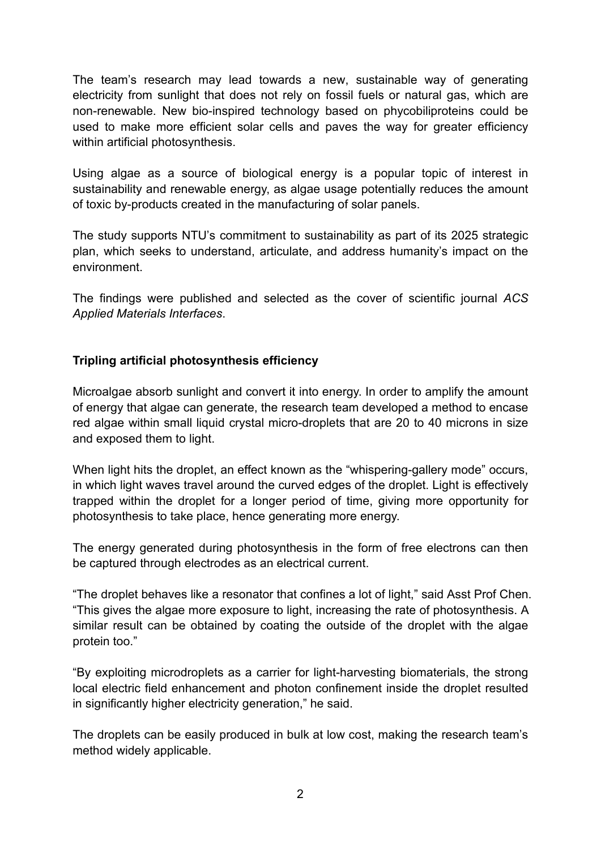The team's research may lead towards a new, sustainable way of generating electricity from sunlight that does not rely on fossil fuels or natural gas, which are non-renewable. New bio-inspired technology based on phycobiliproteins could be used to make more efficient solar cells and paves the way for greater efficiency within artificial photosynthesis.

Using algae as a source of biological energy is a popular topic of interest in sustainability and renewable energy, as algae usage potentially reduces the amount of toxic by-products created in the manufacturing of solar panels.

The study supports NTU's commitment to sustainability as part of its 2025 strategic plan, which seeks to understand, articulate, and address humanity's impact on the environment.

The findings were published and selected as the cover of scientific journal *ACS Applied Materials Interfaces*.

## **Tripling artificial photosynthesis efficiency**

Microalgae absorb sunlight and convert it into energy. In order to amplify the amount of energy that algae can generate, the research team developed a method to encase red algae within small liquid crystal micro-droplets that are 20 to 40 microns in size and exposed them to light.

When light hits the droplet, an effect known as the "whispering-gallery mode" occurs, in which light waves travel around the curved edges of the droplet. Light is effectively trapped within the droplet for a longer period of time, giving more opportunity for photosynthesis to take place, hence generating more energy.

The energy generated during photosynthesis in the form of free electrons can then be captured through electrodes as an electrical current.

"The droplet behaves like a resonator that confines a lot of light," said Asst Prof Chen. "This gives the algae more exposure to light, increasing the rate of photosynthesis. A similar result can be obtained by coating the outside of the droplet with the algae protein too."

"By exploiting microdroplets as a carrier for light-harvesting biomaterials, the strong local electric field enhancement and photon confinement inside the droplet resulted in significantly higher electricity generation," he said.

The droplets can be easily produced in bulk at low cost, making the research team's method widely applicable.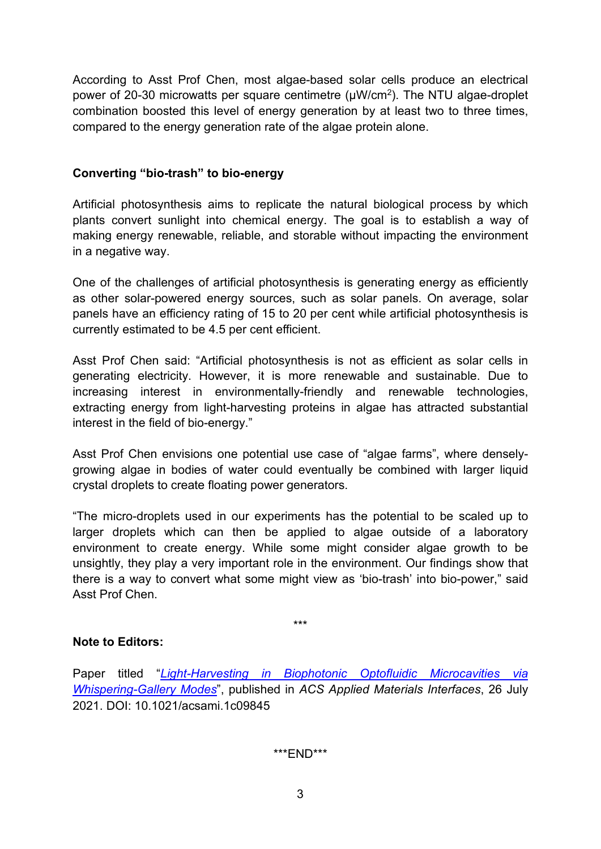According to Asst Prof Chen, most algae-based solar cells produce an electrical power of 20-30 microwatts per square centimetre (µW/cm2). The NTU algae-droplet combination boosted this level of energy generation by at least two to three times, compared to the energy generation rate of the algae protein alone.

## **Converting "bio-trash" to bio-energy**

Artificial photosynthesis aims to replicate the natural biological process by which plants convert sunlight into chemical energy. The goal is to establish a way of making energy renewable, reliable, and storable without impacting the environment in a negative way.

One of the challenges of artificial photosynthesis is generating energy as efficiently as other solar-powered energy sources, such as solar panels. On average, solar panels have an efficiency rating of 15 to 20 per cent while artificial photosynthesis is currently estimated to be 4.5 per cent efficient.

Asst Prof Chen said: "Artificial photosynthesis is not as efficient as solar cells in generating electricity. However, it is more renewable and sustainable. Due to increasing interest in environmentally-friendly and renewable technologies, extracting energy from light-harvesting proteins in algae has attracted substantial interest in the field of bio-energy."

Asst Prof Chen envisions one potential use case of "algae farms", where denselygrowing algae in bodies of water could eventually be combined with larger liquid crystal droplets to create floating power generators.

"The micro-droplets used in our experiments has the potential to be scaled up to larger droplets which can then be applied to algae outside of a laboratory environment to create energy. While some might consider algae growth to be unsightly, they play a very important role in the environment. Our findings show that there is a way to convert what some might view as 'bio-trash' into bio-power," said Asst Prof Chen.

\*\*\*

#### **Note to Editors:**

Paper titled "*[Light-Harvesting in Biophotonic Optofluidic Microcavities via](https://www3.ntu.edu.sg/CorpComms2/Research%20Papers/Microalgae%20Tiny%20Photonic%20Microdroplets.pdf)  [Whispering-Gallery Modes](https://www3.ntu.edu.sg/CorpComms2/Research%20Papers/Microalgae%20Tiny%20Photonic%20Microdroplets.pdf)*", published in *ACS Applied Materials Interfaces*, 26 July 2021. DOI: 10.1021/acsami.1c09845

\*\*\*END\*\*\*